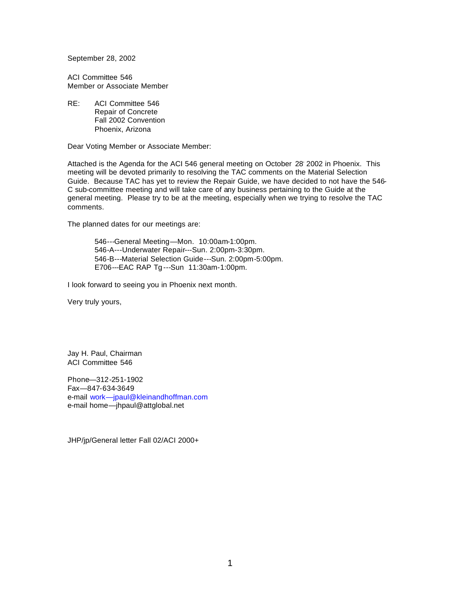September 28, 2002

ACI Committee 546 Member or Associate Member

RE: ACI Committee 546 Repair of Concrete Fall 2002 Convention Phoenix, Arizona

Dear Voting Member or Associate Member:

Attached is the Agenda for the ACI 546 general meeting on October 28' 2002 in Phoenix. This meeting will be devoted primarily to resolving the TAC comments on the Material Selection Guide. Because TAC has yet to review the Repair Guide, we have decided to not have the 546- C sub-committee meeting and will take care of any business pertaining to the Guide at the general meeting. Please try to be at the meeting, especially when we trying to resolve the TAC comments.

The planned dates for our meetings are:

546---General Meeting—Mon. 10:00am-1:00pm. 546-A---Underwater Repair---Sun. 2:00pm-3:30pm. 546-B---Material Selection Guide---Sun. 2:00pm-5:00pm. E706---EAC RAP Tg ---Sun 11:30am-1:00pm.

I look forward to seeing you in Phoenix next month.

Very truly yours,

Jay H. Paul, Chairman ACI Committee 546

Phone—312-251-1902 Fax—847-634-3649 e-mail work—jpaul@kleinandhoffman.com e-mail home—jhpaul@attglobal.net

JHP/jp/General letter Fall 02/ACI 2000+